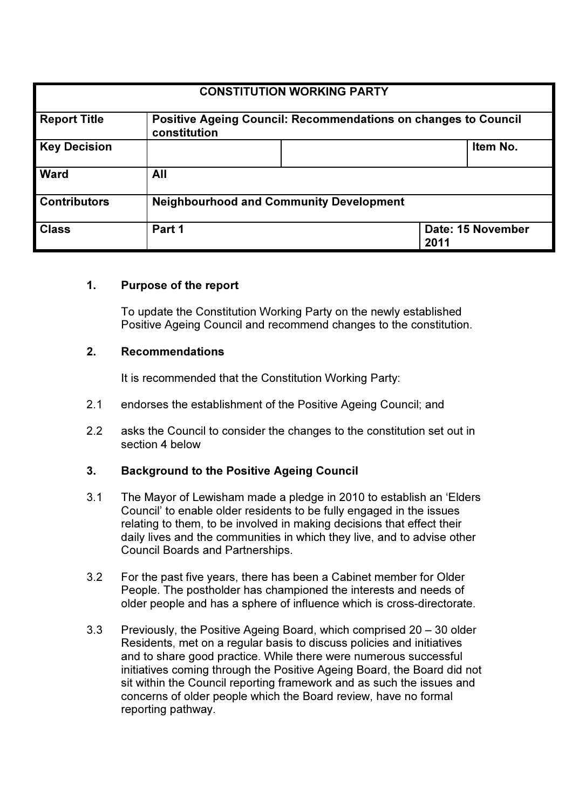| <b>CONSTITUTION WORKING PARTY</b> |                                                                                       |  |                           |  |
|-----------------------------------|---------------------------------------------------------------------------------------|--|---------------------------|--|
| <b>Report Title</b>               | <b>Positive Ageing Council: Recommendations on changes to Council</b><br>constitution |  |                           |  |
| <b>Key Decision</b>               |                                                                                       |  | Item No.                  |  |
| <b>Ward</b>                       | All                                                                                   |  |                           |  |
| <b>Contributors</b>               | <b>Neighbourhood and Community Development</b>                                        |  |                           |  |
| <b>Class</b>                      | Part 1                                                                                |  | Date: 15 November<br>2011 |  |

### 1. Purpose of the report

To update the Constitution Working Party on the newly established Positive Ageing Council and recommend changes to the constitution.

#### 2. Recommendations

It is recommended that the Constitution Working Party:

- 2.1 endorses the establishment of the Positive Ageing Council; and
- 2.2 asks the Council to consider the changes to the constitution set out in section 4 below

### 3. Background to the Positive Ageing Council

- 3.1 The Mayor of Lewisham made a pledge in 2010 to establish an 'Elders Council' to enable older residents to be fully engaged in the issues relating to them, to be involved in making decisions that effect their daily lives and the communities in which they live, and to advise other Council Boards and Partnerships.
- 3.2 For the past five years, there has been a Cabinet member for Older People. The postholder has championed the interests and needs of older people and has a sphere of influence which is cross-directorate.
- 3.3 Previously, the Positive Ageing Board, which comprised 20 30 older Residents, met on a regular basis to discuss policies and initiatives and to share good practice. While there were numerous successful initiatives coming through the Positive Ageing Board, the Board did not sit within the Council reporting framework and as such the issues and concerns of older people which the Board review, have no formal reporting pathway.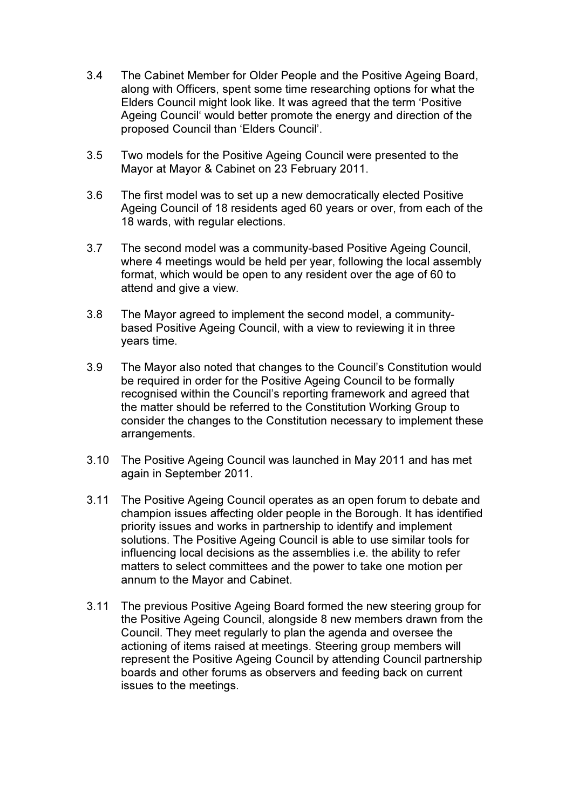- 3.4 The Cabinet Member for Older People and the Positive Ageing Board, along with Officers, spent some time researching options for what the Elders Council might look like. It was agreed that the term 'Positive Ageing Council' would better promote the energy and direction of the proposed Council than 'Elders Council'.
- 3.5 Two models for the Positive Ageing Council were presented to the Mayor at Mayor & Cabinet on 23 February 2011.
- 3.6 The first model was to set up a new democratically elected Positive Ageing Council of 18 residents aged 60 years or over, from each of the 18 wards, with regular elections.
- 3.7 The second model was a community-based Positive Ageing Council, where 4 meetings would be held per year, following the local assembly format, which would be open to any resident over the age of 60 to attend and give a view.
- 3.8 The Mayor agreed to implement the second model, a communitybased Positive Ageing Council, with a view to reviewing it in three years time.
- 3.9 The Mayor also noted that changes to the Council's Constitution would be required in order for the Positive Ageing Council to be formally recognised within the Council's reporting framework and agreed that the matter should be referred to the Constitution Working Group to consider the changes to the Constitution necessary to implement these arrangements.
- 3.10 The Positive Ageing Council was launched in May 2011 and has met again in September 2011.
- 3.11 The Positive Ageing Council operates as an open forum to debate and champion issues affecting older people in the Borough. It has identified priority issues and works in partnership to identify and implement solutions. The Positive Ageing Council is able to use similar tools for influencing local decisions as the assemblies i.e. the ability to refer matters to select committees and the power to take one motion per annum to the Mayor and Cabinet.
- 3.11 The previous Positive Ageing Board formed the new steering group for the Positive Ageing Council, alongside 8 new members drawn from the Council. They meet regularly to plan the agenda and oversee the actioning of items raised at meetings. Steering group members will represent the Positive Ageing Council by attending Council partnership boards and other forums as observers and feeding back on current issues to the meetings.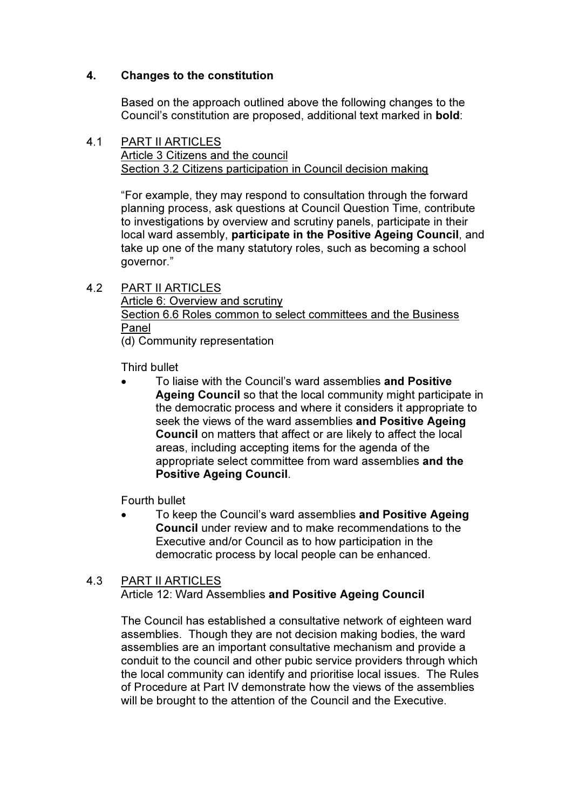# 4. Changes to the constitution

 Based on the approach outlined above the following changes to the Council's constitution are proposed, additional text marked in bold:

### 4.1 PART II ARTICLES Article 3 Citizens and the council Section 3.2 Citizens participation in Council decision making

 "For example, they may respond to consultation through the forward planning process, ask questions at Council Question Time, contribute to investigations by overview and scrutiny panels, participate in their local ward assembly, participate in the Positive Ageing Council, and take up one of the many statutory roles, such as becoming a school governor."

### 4.2 PART II ARTICLES

 Article 6: Overview and scrutiny Section 6.6 Roles common to select committees and the Business Panel (d) Community representation

Third bullet

To liaise with the Council's ward assemblies and Positive Ageing Council so that the local community might participate in the democratic process and where it considers it appropriate to seek the views of the ward assemblies and Positive Ageing Council on matters that affect or are likely to affect the local areas, including accepting items for the agenda of the appropriate select committee from ward assemblies and the Positive Ageing Council.

Fourth bullet

• To keep the Council's ward assemblies and Positive Ageing Council under review and to make recommendations to the Executive and/or Council as to how participation in the democratic process by local people can be enhanced.

#### 4.3 PART II ARTICLES Article 12: Ward Assemblies and Positive Ageing Council

 The Council has established a consultative network of eighteen ward assemblies. Though they are not decision making bodies, the ward assemblies are an important consultative mechanism and provide a conduit to the council and other pubic service providers through which the local community can identify and prioritise local issues. The Rules of Procedure at Part IV demonstrate how the views of the assemblies will be brought to the attention of the Council and the Executive.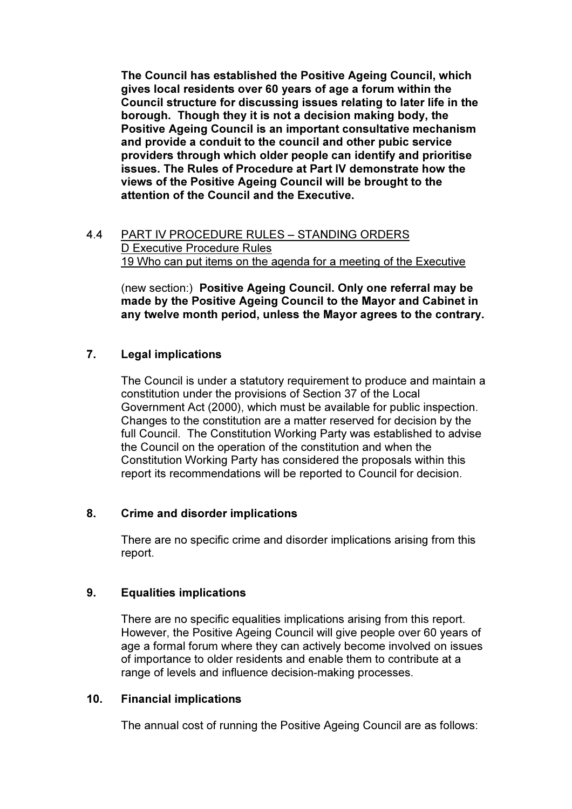The Council has established the Positive Ageing Council, which gives local residents over 60 years of age a forum within the Council structure for discussing issues relating to later life in the borough. Though they it is not a decision making body, the Positive Ageing Council is an important consultative mechanism and provide a conduit to the council and other pubic service providers through which older people can identify and prioritise issues. The Rules of Procedure at Part IV demonstrate how the views of the Positive Ageing Council will be brought to the attention of the Council and the Executive.

4.4 PART IV PROCEDURE RULES – STANDING ORDERS D Executive Procedure Rules 19 Who can put items on the agenda for a meeting of the Executive

 (new section:) Positive Ageing Council. Only one referral may be made by the Positive Ageing Council to the Mayor and Cabinet in any twelve month period, unless the Mayor agrees to the contrary.

# 7. Legal implications

 The Council is under a statutory requirement to produce and maintain a constitution under the provisions of Section 37 of the Local Government Act (2000), which must be available for public inspection. Changes to the constitution are a matter reserved for decision by the full Council. The Constitution Working Party was established to advise the Council on the operation of the constitution and when the Constitution Working Party has considered the proposals within this report its recommendations will be reported to Council for decision.

### 8. Crime and disorder implications

 There are no specific crime and disorder implications arising from this report.

### 9. Equalities implications

 There are no specific equalities implications arising from this report. However, the Positive Ageing Council will give people over 60 years of age a formal forum where they can actively become involved on issues of importance to older residents and enable them to contribute at a range of levels and influence decision-making processes.

#### 10. Financial implications

The annual cost of running the Positive Ageing Council are as follows: